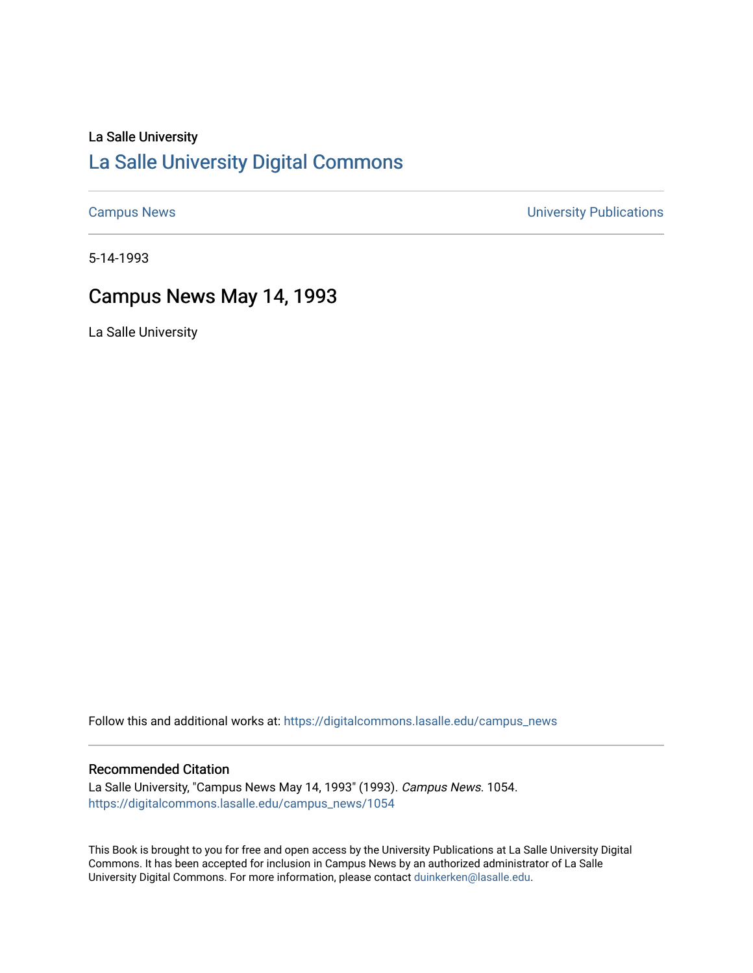### La Salle University

## [La Salle University Digital Commons](https://digitalcommons.lasalle.edu/)

[Campus News](https://digitalcommons.lasalle.edu/campus_news) [University Publications](https://digitalcommons.lasalle.edu/universitypublications) 

5-14-1993

## Campus News May 14, 1993

La Salle University

Follow this and additional works at: [https://digitalcommons.lasalle.edu/campus\\_news](https://digitalcommons.lasalle.edu/campus_news?utm_source=digitalcommons.lasalle.edu%2Fcampus_news%2F1054&utm_medium=PDF&utm_campaign=PDFCoverPages) 

#### Recommended Citation

La Salle University, "Campus News May 14, 1993" (1993). Campus News. 1054. [https://digitalcommons.lasalle.edu/campus\\_news/1054](https://digitalcommons.lasalle.edu/campus_news/1054?utm_source=digitalcommons.lasalle.edu%2Fcampus_news%2F1054&utm_medium=PDF&utm_campaign=PDFCoverPages) 

This Book is brought to you for free and open access by the University Publications at La Salle University Digital Commons. It has been accepted for inclusion in Campus News by an authorized administrator of La Salle University Digital Commons. For more information, please contact [duinkerken@lasalle.edu](mailto:duinkerken@lasalle.edu).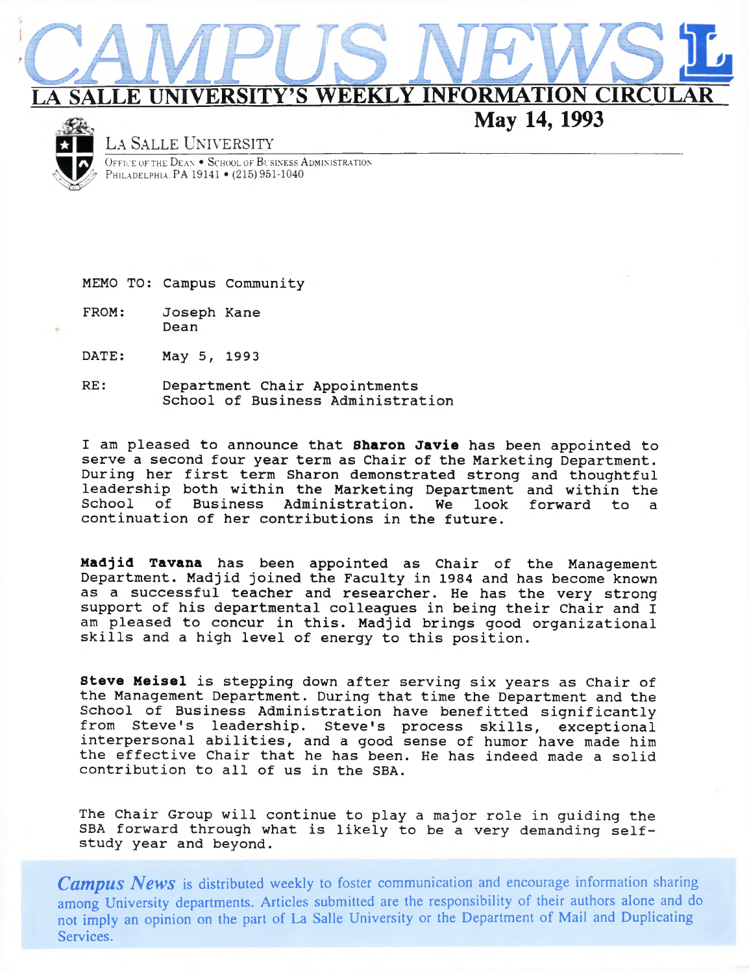# **ERSITY'S WEEKLY INFORMATION CIRC**

**May 14, 1993**



#### **La Salle University\_\_\_\_\_\_\_\_\_\_\_**

OFFICE OF THE DEAN • SCHOOL OF BUSINESS ADMINISTRATION PHILADELPHIA. PA 19141 · (215) 951-1040

MEMO TO: Campus Community

FROM: Joseph Kane Dean

- DATE: May 5, 1993
- RE: Department Chair Appointments School of Business Administration

I am pleased to announce that **Sharon Javie** has been appointed to serve a second four year term as Chair of the Marketing Department. During her first term Sharon demonstrated strong and thoughtful leadership both within the Marketing Department and within the School of Business Administration. We look forward to a continuation of her contributions in the future.

**Madjid Tavana** has been appointed as Chair of the Management Department. Madjid joined the Faculty in 1984 and has become known as a successful teacher and researcher. He has the very strong support of his departmental colleagues in being their Chair and I am pleased to concur in this. Madjid brings good organizational skills and a high level of energy to this position.

**Steve Meisel** is stepping down after serving six years as Chair of the Management Department. During that time the Department and the School of Business Administration have benefitted significantly from Steve's leadership. Steve's process skills, exceptional interpersonal abilities, and a good sense of humor have made him the effective Chair that he has been. He has indeed made a solid contribution to all of us in the SBA.

The Chair Group will continue to play a major role in guiding the SBA forward through what is likely to be a very demanding selfstudy year and beyond.

*Campus News* **is distributed weekly to foster communication and encourage information sharing among University departments. Articles submitted are the responsibility of their authors alone and do not imply an opinion on the part of La Salle University or the Department of Mail and Duplicating Services.**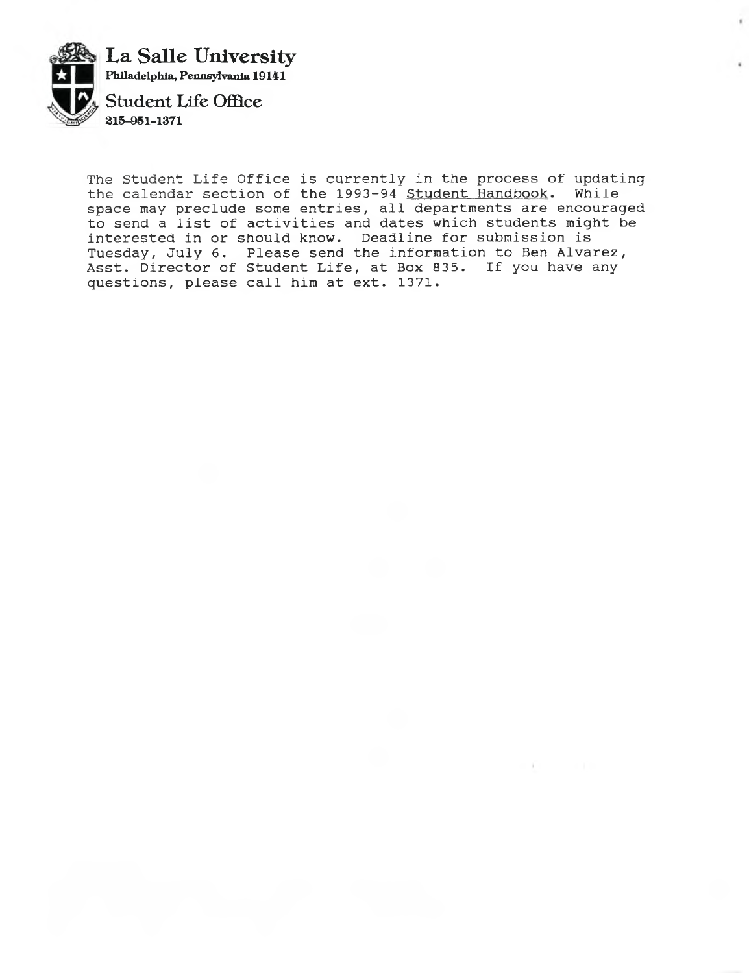

The Student Life Office is currently in the process of updating the calendar section of the 1993-94 <u>Student Handbook</u>. While space may preclude some entries, all departments are encouraged to send a list of activities and dates which students might be interested in or should know. Deadline for submission is Tuesday, July 6. Please send the information to Ben Alvarez, Asst. Director of Student Life, at Box 835. If you have any questions, please call him at ext. 1371.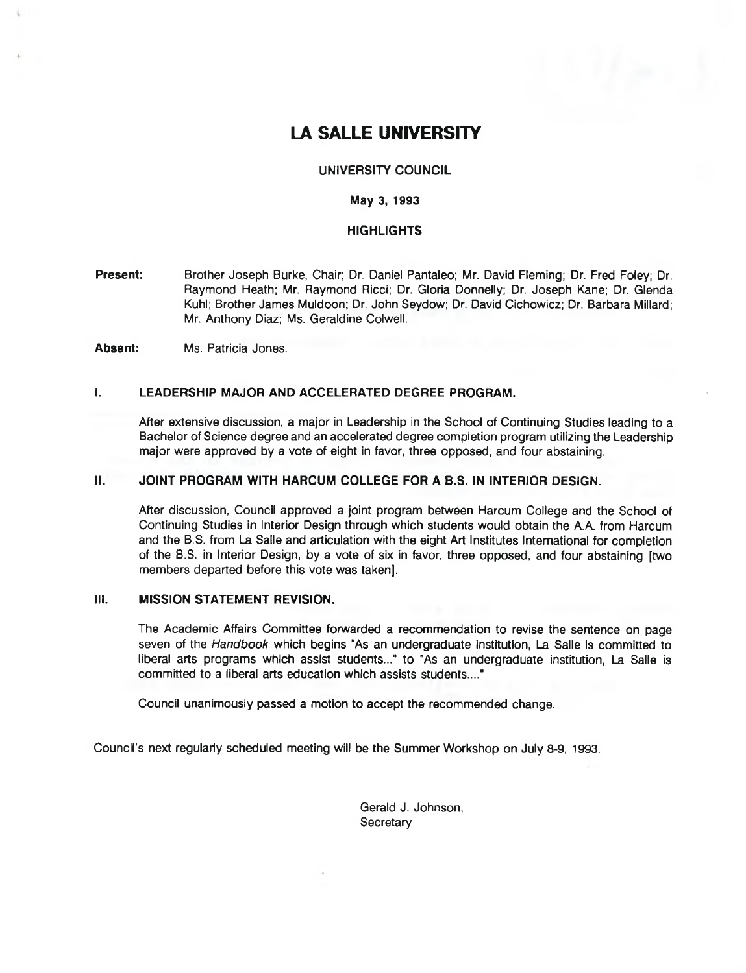## **LA SALLE UNIVERSITY**

#### **UNIVERSITY COUNCIL**

#### **May 3, 1993**

#### **HIGHLIGHTS**

**Present:** Brother Joseph Burke, Chair; Dr. Daniel Pantaleo; Mr. David Fleming; Dr. Fred Foley; Dr. Raymond Heath; Mr. Raymond Ricci; Dr. Gloria Donnelly; Dr. Joseph Kane; Dr. Glenda Kuhl; Brother James Muldoon; Dr. John Seydow; Dr. David Cichowicz; Dr. Barbara Millard; Mr. Anthony Diaz; Ms. Geraldine Colwell.

**Absent:** Ms. Patricia Jones.

#### **I. LEADERSHIP MAJOR AND ACCELERATED DEGREE PROGRAM.**

After extensive discussion, a major in Leadership in the School of Continuing Studies leading to a Bachelor of Science degree and an accelerated degree completion program utilizing the Leadership major were approved by a vote of eight in favor, three opposed, and four abstaining.

#### **II. JOINT PROGRAM WITH HARCUM COLLEGE FOR A B.S. IN INTERIOR DESIGN.**

After discussion, Council approved a joint program between Harcum College and the School of Continuing Studies in Interior Design through which students would obtain the A.A. from Harcum and the B.S. from La Salle and articulation with the eight Art Institutes International for completion of the B.S. in Interior Design, by a vote of six in favor, three opposed, and four abstaining [two members departed before this vote was taken],

#### **III. MISSION STATEMENT REVISION.**

The Academic Affairs Committee forwarded a recommendation to revise the sentence on page seven of the *Handbook* which begins "As an undergraduate institution, La Salle is committed to liberal arts programs which assist students..." to "As an undergraduate institution, La Salle is committed to a liberal arts education which assists students...."

Council unanimously passed a motion to accept the recommended change.

Council's next regularly scheduled meeting will be the Summer Workshop on July 8-9, 1993.

Gerald J. Johnson, **Secretary**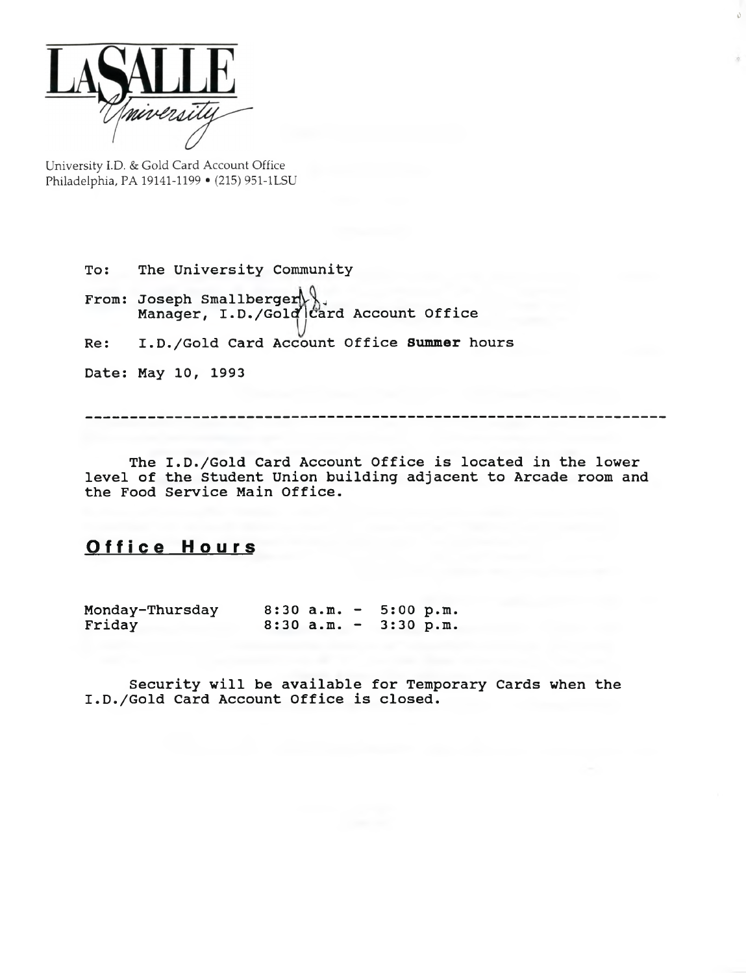

**University I.D. & Gold Card Account Office Philadelphia, PA 19141-1199 • (215) 951-1LSU**

> To: From: Joseph Smallberger Re: The University Community Manager, I.D./Gold Card Account Office **I** .D./Gold Card Account Office **Summer** hours

Date: May 10, 1993

The I.D./Gold Card Account Office is located in the lower level of the Student Union building adjacent to Arcade room and the Food Service Main Office.

## **Office Hours**

Monday-Thursday 8:30 a.m. - 5:00 p.m.<br>Friday 8:30 a.m. - 3:30 p.m.  $8:30$  a.m. - 3:30 p.m.

Security will be available for Temporary Cards when the I.D./Gold Card Account Office is closed.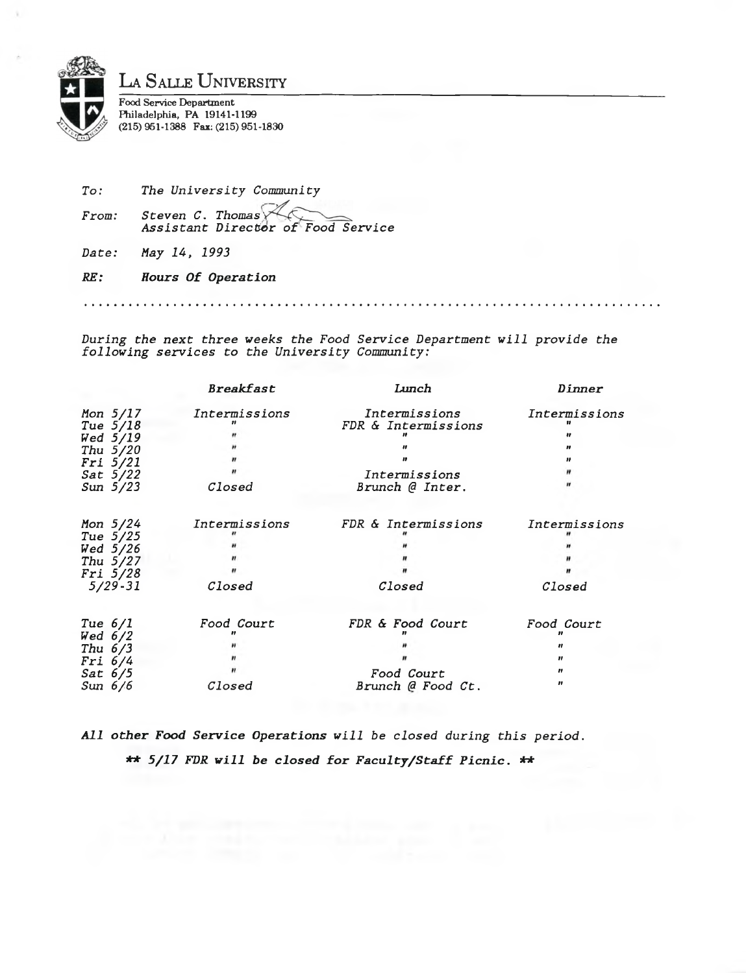

*To: From:* The University Community *Steven C. Thomas A s s is t a n t D ir e c t o r o f Food S e r v ic e*

*Date: May 14, 1993*

*RE: H ours Of O peration*

*During the next three weeks the Food Service Department will provide the fo llo w in g s e r v ic e s to the U n iv e r sit y Community:*

|                     | <b>Breakfast</b> | Lunch               | Dinner        |  |
|---------------------|------------------|---------------------|---------------|--|
| Mon 5/17            | Intermissions    | Intermissions       | Intermissions |  |
| Tue 5/18            |                  | FDR & Intermissions |               |  |
| Wed 5/19            |                  |                     | 11            |  |
| Thu 5/20            |                  |                     | Ħ             |  |
| <i>Fri 5/21</i>     |                  | "                   | ,,            |  |
| $Sat$ 5/22          |                  | Intermissions       |               |  |
| Sun $5/23$          | Closed           | Brunch @ Inter.     |               |  |
| Mon $5/24$          | Intermissions    | FDR & Intermissions | Intermissions |  |
| Tue 5/25            |                  |                     |               |  |
| Wed 5/26            |                  |                     |               |  |
| Thu $5/27$          |                  |                     |               |  |
|                     |                  |                     |               |  |
| Fri 5/28<br>5/29-31 | Closed           | Closed              | Closed        |  |
|                     |                  |                     |               |  |
| Tue $6/1$           | Food Court       | FDR & Food Court    | Food Court    |  |
| Wed $6/2$           |                  |                     |               |  |
| Thu $6/3$           |                  |                     |               |  |
| Fri 6/4             |                  |                     | Ħ             |  |
| Sat 6/5             |                  | Food Court          | n             |  |
| Sun 6/6             | Closed           | Brunch @ Food Ct.   | "             |  |

All other Food Service Operations will be closed during this period. \*\* 5/17 FDR will be closed for Faculty/Staff Picnic. \*\*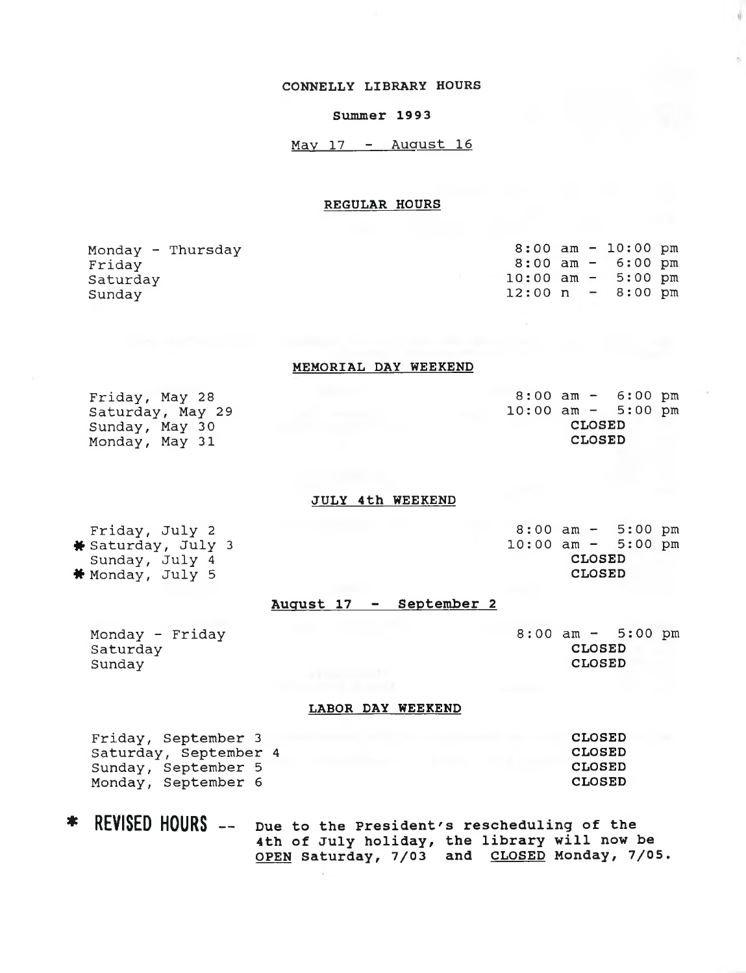#### **CONNELLY LIBRARY HOURS**

#### Summer 1993

 $May 17 - August 16$ 

#### REGULAR HOURS

| Monday - Thursday |  | $8:00$ am $-10:00$ pm               |  |
|-------------------|--|-------------------------------------|--|
| Friday            |  | $8:00$ am $-$ 6:00 pm               |  |
| Saturday          |  | $10:00$ am $-$ 5:00 pm              |  |
| Sundav            |  | $12:00 \text{ n} - 8:00 \text{ pm}$ |  |
|                   |  |                                     |  |

#### MEMORIAL DAY WEEKEND

Friday, May 28 Saturday, May 29 Sunday, May 30 Monday, May 31

Friday, July 2 \* Saturday, July 3 Sunday, July 4 \* Monday, July 5

**8 : 00** am - 6:00 pm **10:00** am - 5:00 pm CLOSED CLOSED

#### JULY 4th WEEKEND

8:00 am - 5:00 pm 10:00 am - 5:00 pm CLOSED CLOSED

#### August 17 - September 2

Monday - Friday Saturday Sunday

 $8:00$  am  $-$  5:00 pm CLOSED CLOSED

#### LABOR DAY WEEKEND

| Friday, September 3   | <b>CLOSED</b> |
|-----------------------|---------------|
| Saturday, September 4 | <b>CLOSED</b> |
| Sunday, September 5   | <b>CLOSED</b> |
| Monday, September 6   | <b>CLOSED</b> |

REVISED HOURS -- Due to the President's rescheduling of the 4th of July holiday, the library will now be OPEN Saturday, 7/03 and CLOSED Monday, 7/05.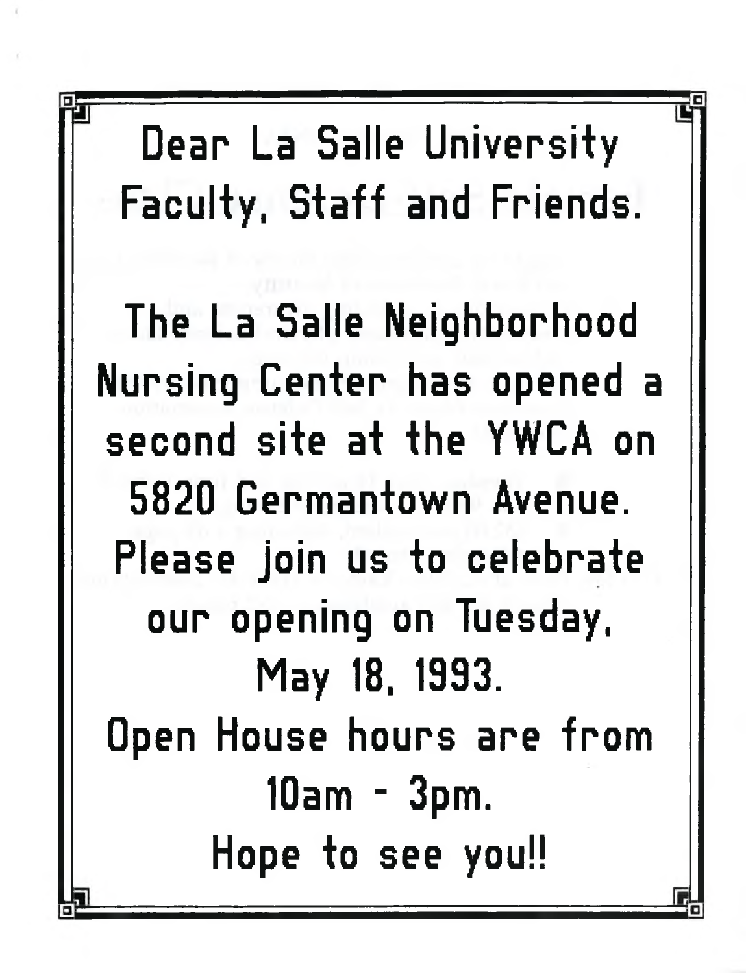Dear La Salle University Faculty, Staff and Friends.

The La Salle Neighborhood Nursing Center has opened a second site at the YWCA on 5820 Germantown Avenue. Please join us to celebrate our opening on Tuesday, May 18, 1993. Open House hours are from 10am - 3pm. Hope to see you!!